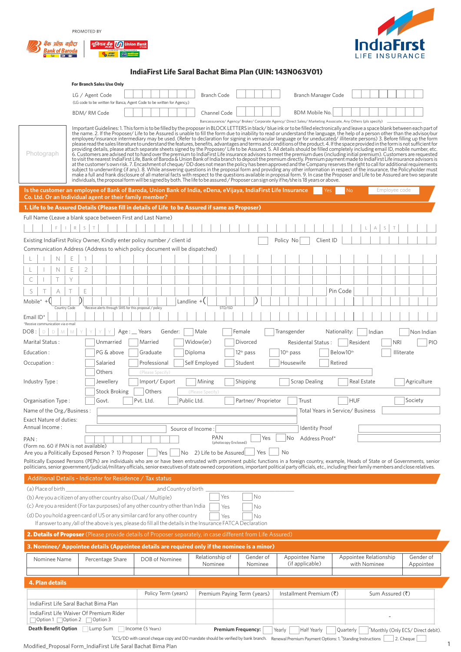PROMOTED BY





## **IndiaFirst Life Saral Bachat Bima Plan (UIN: 143N063V01)**

|                                                          | <b>For Branch Sales Use Only</b>                                            |                                                                                                                                        |                             |                      |                                                                                                              |                                                                                                                                                                                                                                                                                                                                                                                                                                                                                                                                                                                                                                                                                                                                                                                                                                                                                                                                                                                                                                                                                                                                                                                                                                                                                                                                                                                                                                                                                                                                                                                                                                                                                                                                                                                                                                             |                                    |
|----------------------------------------------------------|-----------------------------------------------------------------------------|----------------------------------------------------------------------------------------------------------------------------------------|-----------------------------|----------------------|--------------------------------------------------------------------------------------------------------------|---------------------------------------------------------------------------------------------------------------------------------------------------------------------------------------------------------------------------------------------------------------------------------------------------------------------------------------------------------------------------------------------------------------------------------------------------------------------------------------------------------------------------------------------------------------------------------------------------------------------------------------------------------------------------------------------------------------------------------------------------------------------------------------------------------------------------------------------------------------------------------------------------------------------------------------------------------------------------------------------------------------------------------------------------------------------------------------------------------------------------------------------------------------------------------------------------------------------------------------------------------------------------------------------------------------------------------------------------------------------------------------------------------------------------------------------------------------------------------------------------------------------------------------------------------------------------------------------------------------------------------------------------------------------------------------------------------------------------------------------------------------------------------------------------------------------------------------------|------------------------------------|
|                                                          | LG / Agent Code                                                             |                                                                                                                                        | <b>Branch Code</b>          |                      | Branch Manager Code                                                                                          |                                                                                                                                                                                                                                                                                                                                                                                                                                                                                                                                                                                                                                                                                                                                                                                                                                                                                                                                                                                                                                                                                                                                                                                                                                                                                                                                                                                                                                                                                                                                                                                                                                                                                                                                                                                                                                             |                                    |
|                                                          | BDM/RM Code                                                                 | (LG code to be written for Banca, Agent Code to be written for Agency.)                                                                | Channel Code                |                      | <b>BDM Mobile No.</b>                                                                                        |                                                                                                                                                                                                                                                                                                                                                                                                                                                                                                                                                                                                                                                                                                                                                                                                                                                                                                                                                                                                                                                                                                                                                                                                                                                                                                                                                                                                                                                                                                                                                                                                                                                                                                                                                                                                                                             |                                    |
| Photograph                                               |                                                                             | individuals, the proposal form will be signed by both. The life to be assured / Proposer can sign only if he/she is 18 years or above. |                             |                      | Bancassurance/ Agency/ Broker/ Corporate Agency/ Direct Sales/ Marketing Associate, Any Others (pls specify) | Important Guidelines: 1. This form is to be filled by the proposer in BLOCK LETTERS in black/blue ink or to be filled electronically and leave a space blank between each part of<br>the name. 2. If the Proposer/Life to be Assured is unable to fill the form due to inability to read or understand the language, the help of a person other than the advisor/our<br>employee/insurance intermediary may be used. (Refer to declaration for signing in vernacular language or for uneducated/illiterate persons) 3. Before filling up the form<br>please read the sales literature to understand the features, benefits, advantages and terms and conditions of the product. 4. If the space provided in the form is not sufficient for<br>providing details, please attach separate sheets signed by the Proposer/Life to be Assured. 5. All details should be filled completely including email ID, mobile number, etc.<br>6. Customers are advised not to hand over the premium to IndiaFirst Life insurance advisors to meet the premium dues (including initial premium). Customers are requested<br>to visit the nearest IndiaFirst Life, Bank of Baroda & Union Bank of India branch to deposit the premium directly. Premium payment made to IndiaFirst Life insurance advisors is<br>at the customer's own risk. 7. Encashment of cheque/DD does not mean the policy has been approved and the Company reserves the right to call for additional requirements<br>subject to underwriting (if any). 8. While answering questions in the proposal form and providing any other information in respect of the insurance, the Policyholder must<br>make a full and frank disclosure of all material facts with respect to the questions available in proposal form. 9. In case the Proposer and Life to be Assured are two separate |                                    |
|                                                          |                                                                             | Is the customer an employee of Bank of Baroda, Union Bank of India, eDena, eVijaya, IndiaFirst Life Insurance                          |                             |                      | Yes                                                                                                          | <b>No</b><br>Employee code                                                                                                                                                                                                                                                                                                                                                                                                                                                                                                                                                                                                                                                                                                                                                                                                                                                                                                                                                                                                                                                                                                                                                                                                                                                                                                                                                                                                                                                                                                                                                                                                                                                                                                                                                                                                                  |                                    |
|                                                          | Co. Ltd. Or an Individual agent or their family member?                     |                                                                                                                                        |                             |                      |                                                                                                              |                                                                                                                                                                                                                                                                                                                                                                                                                                                                                                                                                                                                                                                                                                                                                                                                                                                                                                                                                                                                                                                                                                                                                                                                                                                                                                                                                                                                                                                                                                                                                                                                                                                                                                                                                                                                                                             |                                    |
|                                                          | Full Name (Leave a blank space between First and Last Name)                 | 1. Life to be Assured Details (Please fill in details of Life to be Assured if same as Proposer)                                       |                             |                      |                                                                                                              |                                                                                                                                                                                                                                                                                                                                                                                                                                                                                                                                                                                                                                                                                                                                                                                                                                                                                                                                                                                                                                                                                                                                                                                                                                                                                                                                                                                                                                                                                                                                                                                                                                                                                                                                                                                                                                             |                                    |
|                                                          | $R$   S   T                                                                 |                                                                                                                                        |                             |                      |                                                                                                              | A<br>S                                                                                                                                                                                                                                                                                                                                                                                                                                                                                                                                                                                                                                                                                                                                                                                                                                                                                                                                                                                                                                                                                                                                                                                                                                                                                                                                                                                                                                                                                                                                                                                                                                                                                                                                                                                                                                      |                                    |
|                                                          |                                                                             | Existing IndiaFirst Policy Owner, Kindly enter policy number / client id                                                               |                             |                      | Policy No<br>Client ID                                                                                       |                                                                                                                                                                                                                                                                                                                                                                                                                                                                                                                                                                                                                                                                                                                                                                                                                                                                                                                                                                                                                                                                                                                                                                                                                                                                                                                                                                                                                                                                                                                                                                                                                                                                                                                                                                                                                                             |                                    |
|                                                          |                                                                             | Communication Address (Address to which policy document will be dispatched)                                                            |                             |                      |                                                                                                              |                                                                                                                                                                                                                                                                                                                                                                                                                                                                                                                                                                                                                                                                                                                                                                                                                                                                                                                                                                                                                                                                                                                                                                                                                                                                                                                                                                                                                                                                                                                                                                                                                                                                                                                                                                                                                                             |                                    |
| N                                                        | E                                                                           |                                                                                                                                        |                             |                      |                                                                                                              |                                                                                                                                                                                                                                                                                                                                                                                                                                                                                                                                                                                                                                                                                                                                                                                                                                                                                                                                                                                                                                                                                                                                                                                                                                                                                                                                                                                                                                                                                                                                                                                                                                                                                                                                                                                                                                             |                                    |
| N                                                        | E<br>$\overline{2}$                                                         |                                                                                                                                        |                             |                      |                                                                                                              |                                                                                                                                                                                                                                                                                                                                                                                                                                                                                                                                                                                                                                                                                                                                                                                                                                                                                                                                                                                                                                                                                                                                                                                                                                                                                                                                                                                                                                                                                                                                                                                                                                                                                                                                                                                                                                             |                                    |
| С                                                        | Y                                                                           |                                                                                                                                        |                             |                      |                                                                                                              |                                                                                                                                                                                                                                                                                                                                                                                                                                                                                                                                                                                                                                                                                                                                                                                                                                                                                                                                                                                                                                                                                                                                                                                                                                                                                                                                                                                                                                                                                                                                                                                                                                                                                                                                                                                                                                             |                                    |
| S<br>А                                                   | E                                                                           |                                                                                                                                        |                             |                      |                                                                                                              | Pin Code                                                                                                                                                                                                                                                                                                                                                                                                                                                                                                                                                                                                                                                                                                                                                                                                                                                                                                                                                                                                                                                                                                                                                                                                                                                                                                                                                                                                                                                                                                                                                                                                                                                                                                                                                                                                                                    |                                    |
| Mobile* +<br>Country Code                                | D.<br>*Receive alerts through SMS for this proposal / policy                |                                                                                                                                        | Landline $+$<br>STD/ISD     |                      |                                                                                                              |                                                                                                                                                                                                                                                                                                                                                                                                                                                                                                                                                                                                                                                                                                                                                                                                                                                                                                                                                                                                                                                                                                                                                                                                                                                                                                                                                                                                                                                                                                                                                                                                                                                                                                                                                                                                                                             |                                    |
| Email ID*                                                |                                                                             |                                                                                                                                        |                             |                      |                                                                                                              |                                                                                                                                                                                                                                                                                                                                                                                                                                                                                                                                                                                                                                                                                                                                                                                                                                                                                                                                                                                                                                                                                                                                                                                                                                                                                                                                                                                                                                                                                                                                                                                                                                                                                                                                                                                                                                             |                                    |
| *Receive communication via e-mail<br>DOB:<br>D<br>M<br>D | M                                                                           | Age : __ Years<br>Gender:                                                                                                              | Male                        | Female               | Transgender                                                                                                  | Nationality:<br>Indian                                                                                                                                                                                                                                                                                                                                                                                                                                                                                                                                                                                                                                                                                                                                                                                                                                                                                                                                                                                                                                                                                                                                                                                                                                                                                                                                                                                                                                                                                                                                                                                                                                                                                                                                                                                                                      | Non Indian                         |
| Marital Status:                                          | Unmarried                                                                   | Married                                                                                                                                | Widow(er)                   | Divorced             | Residental Status:                                                                                           | <b>NRI</b><br>Resident                                                                                                                                                                                                                                                                                                                                                                                                                                                                                                                                                                                                                                                                                                                                                                                                                                                                                                                                                                                                                                                                                                                                                                                                                                                                                                                                                                                                                                                                                                                                                                                                                                                                                                                                                                                                                      | PIO                                |
| Education:                                               | PG & above                                                                  | Graduate                                                                                                                               | Diploma                     | $12th$ pass          | $10th$ pass                                                                                                  | Below10 <sup>th</sup>                                                                                                                                                                                                                                                                                                                                                                                                                                                                                                                                                                                                                                                                                                                                                                                                                                                                                                                                                                                                                                                                                                                                                                                                                                                                                                                                                                                                                                                                                                                                                                                                                                                                                                                                                                                                                       | Illiterate                         |
| Occupation:                                              | Salaried                                                                    | Professional                                                                                                                           | Self Employed               | Student              | Housewife                                                                                                    | Retired                                                                                                                                                                                                                                                                                                                                                                                                                                                                                                                                                                                                                                                                                                                                                                                                                                                                                                                                                                                                                                                                                                                                                                                                                                                                                                                                                                                                                                                                                                                                                                                                                                                                                                                                                                                                                                     |                                    |
|                                                          | Others                                                                      | (Please Specify)                                                                                                                       |                             |                      | <b>Scrap Dealing</b>                                                                                         |                                                                                                                                                                                                                                                                                                                                                                                                                                                                                                                                                                                                                                                                                                                                                                                                                                                                                                                                                                                                                                                                                                                                                                                                                                                                                                                                                                                                                                                                                                                                                                                                                                                                                                                                                                                                                                             |                                    |
| Industry Type:                                           | Jewellery<br><b>Stock Broking</b>                                           | Import/Export<br>Others                                                                                                                | Mining<br>(Please Specify)  | Shipping             |                                                                                                              | <b>Real Estate</b>                                                                                                                                                                                                                                                                                                                                                                                                                                                                                                                                                                                                                                                                                                                                                                                                                                                                                                                                                                                                                                                                                                                                                                                                                                                                                                                                                                                                                                                                                                                                                                                                                                                                                                                                                                                                                          | Agriculture                        |
| Organisation Type:                                       | Govt.                                                                       | Pvt. Ltd.                                                                                                                              | Public Ltd.                 | Partner/ Proprietor  | Trust                                                                                                        | <b>HUF</b>                                                                                                                                                                                                                                                                                                                                                                                                                                                                                                                                                                                                                                                                                                                                                                                                                                                                                                                                                                                                                                                                                                                                                                                                                                                                                                                                                                                                                                                                                                                                                                                                                                                                                                                                                                                                                                  | Society                            |
| Name of the Org./Business:                               |                                                                             |                                                                                                                                        |                             |                      |                                                                                                              | Total Years in Service/ Business                                                                                                                                                                                                                                                                                                                                                                                                                                                                                                                                                                                                                                                                                                                                                                                                                                                                                                                                                                                                                                                                                                                                                                                                                                                                                                                                                                                                                                                                                                                                                                                                                                                                                                                                                                                                            |                                    |
| Exact Nature of duties:                                  |                                                                             |                                                                                                                                        |                             |                      |                                                                                                              |                                                                                                                                                                                                                                                                                                                                                                                                                                                                                                                                                                                                                                                                                                                                                                                                                                                                                                                                                                                                                                                                                                                                                                                                                                                                                                                                                                                                                                                                                                                                                                                                                                                                                                                                                                                                                                             |                                    |
| Annual Income:                                           |                                                                             |                                                                                                                                        | Source of Income :<br>PAN   | Yes                  | <b>Identity Proof</b><br>No<br>Address Proof*                                                                |                                                                                                                                                                                                                                                                                                                                                                                                                                                                                                                                                                                                                                                                                                                                                                                                                                                                                                                                                                                                                                                                                                                                                                                                                                                                                                                                                                                                                                                                                                                                                                                                                                                                                                                                                                                                                                             |                                    |
| PAN:<br>(Form no. 60 if PAN is not available)            |                                                                             |                                                                                                                                        | (photocopy Enclosed)        |                      |                                                                                                              |                                                                                                                                                                                                                                                                                                                                                                                                                                                                                                                                                                                                                                                                                                                                                                                                                                                                                                                                                                                                                                                                                                                                                                                                                                                                                                                                                                                                                                                                                                                                                                                                                                                                                                                                                                                                                                             |                                    |
|                                                          | Are you a Politically Exposed Person ? 1) Proposer                          | <b>No</b><br>Yes                                                                                                                       | 2) Life to be Assured       | Yes                  | No                                                                                                           |                                                                                                                                                                                                                                                                                                                                                                                                                                                                                                                                                                                                                                                                                                                                                                                                                                                                                                                                                                                                                                                                                                                                                                                                                                                                                                                                                                                                                                                                                                                                                                                                                                                                                                                                                                                                                                             |                                    |
|                                                          |                                                                             |                                                                                                                                        |                             |                      |                                                                                                              | Politically Exposed Persons (PEPs) are individuals who are or have been entrusted with prominent public functions in a foreign country, example, Heads of State or of Governments, senior<br>politicians, senior government/judic                                                                                                                                                                                                                                                                                                                                                                                                                                                                                                                                                                                                                                                                                                                                                                                                                                                                                                                                                                                                                                                                                                                                                                                                                                                                                                                                                                                                                                                                                                                                                                                                           |                                    |
|                                                          | Additional Details - Indicator for Residence / Tax status                   |                                                                                                                                        |                             |                      |                                                                                                              |                                                                                                                                                                                                                                                                                                                                                                                                                                                                                                                                                                                                                                                                                                                                                                                                                                                                                                                                                                                                                                                                                                                                                                                                                                                                                                                                                                                                                                                                                                                                                                                                                                                                                                                                                                                                                                             |                                    |
| (a) Place of birth                                       |                                                                             | _and Country of birth                                                                                                                  |                             |                      |                                                                                                              |                                                                                                                                                                                                                                                                                                                                                                                                                                                                                                                                                                                                                                                                                                                                                                                                                                                                                                                                                                                                                                                                                                                                                                                                                                                                                                                                                                                                                                                                                                                                                                                                                                                                                                                                                                                                                                             |                                    |
|                                                          | (b) Are you a citizen of any other country also (Dual / Multiple)           | (c) Are you a resident (For tax purposes) of any other country other than India                                                        | Yes<br>Yes                  | No<br>No             |                                                                                                              |                                                                                                                                                                                                                                                                                                                                                                                                                                                                                                                                                                                                                                                                                                                                                                                                                                                                                                                                                                                                                                                                                                                                                                                                                                                                                                                                                                                                                                                                                                                                                                                                                                                                                                                                                                                                                                             |                                    |
|                                                          |                                                                             | (d) Do you hold a green card of US or any similar card for any other country                                                           | Yes                         | No                   |                                                                                                              |                                                                                                                                                                                                                                                                                                                                                                                                                                                                                                                                                                                                                                                                                                                                                                                                                                                                                                                                                                                                                                                                                                                                                                                                                                                                                                                                                                                                                                                                                                                                                                                                                                                                                                                                                                                                                                             |                                    |
|                                                          |                                                                             | If answer to any /all of the above is yes, please do fill all the details in the Insurance FATCA Declaration                           |                             |                      |                                                                                                              |                                                                                                                                                                                                                                                                                                                                                                                                                                                                                                                                                                                                                                                                                                                                                                                                                                                                                                                                                                                                                                                                                                                                                                                                                                                                                                                                                                                                                                                                                                                                                                                                                                                                                                                                                                                                                                             |                                    |
|                                                          |                                                                             | 2. Details of Proposer (Please provide details of Proposer separately, in case different from Life Assured)                            |                             |                      |                                                                                                              |                                                                                                                                                                                                                                                                                                                                                                                                                                                                                                                                                                                                                                                                                                                                                                                                                                                                                                                                                                                                                                                                                                                                                                                                                                                                                                                                                                                                                                                                                                                                                                                                                                                                                                                                                                                                                                             |                                    |
|                                                          |                                                                             | 3. Nominee/ Appointee details (Appointee details are required only if the nominee is a minor)                                          |                             |                      |                                                                                                              |                                                                                                                                                                                                                                                                                                                                                                                                                                                                                                                                                                                                                                                                                                                                                                                                                                                                                                                                                                                                                                                                                                                                                                                                                                                                                                                                                                                                                                                                                                                                                                                                                                                                                                                                                                                                                                             |                                    |
| Nominee Name                                             | Percentage Share                                                            | DOB of Nominee                                                                                                                         | Relationship of<br>Nominee  | Gender of<br>Nominee | Appointee Name<br>(if applicable)                                                                            | Appointee Relationship<br>with Nominee                                                                                                                                                                                                                                                                                                                                                                                                                                                                                                                                                                                                                                                                                                                                                                                                                                                                                                                                                                                                                                                                                                                                                                                                                                                                                                                                                                                                                                                                                                                                                                                                                                                                                                                                                                                                      | Gender of<br>Appointee             |
|                                                          |                                                                             |                                                                                                                                        |                             |                      |                                                                                                              |                                                                                                                                                                                                                                                                                                                                                                                                                                                                                                                                                                                                                                                                                                                                                                                                                                                                                                                                                                                                                                                                                                                                                                                                                                                                                                                                                                                                                                                                                                                                                                                                                                                                                                                                                                                                                                             |                                    |
| 4. Plan details                                          |                                                                             |                                                                                                                                        |                             |                      |                                                                                                              |                                                                                                                                                                                                                                                                                                                                                                                                                                                                                                                                                                                                                                                                                                                                                                                                                                                                                                                                                                                                                                                                                                                                                                                                                                                                                                                                                                                                                                                                                                                                                                                                                                                                                                                                                                                                                                             |                                    |
|                                                          |                                                                             | Policy Term (years)                                                                                                                    | Premium Paying Term (years) |                      | Installment Premium (₹)                                                                                      | Sum Assured (そ)                                                                                                                                                                                                                                                                                                                                                                                                                                                                                                                                                                                                                                                                                                                                                                                                                                                                                                                                                                                                                                                                                                                                                                                                                                                                                                                                                                                                                                                                                                                                                                                                                                                                                                                                                                                                                             |                                    |
|                                                          | IndiaFirst Life Saral Bachat Bima Plan                                      |                                                                                                                                        |                             |                      |                                                                                                              |                                                                                                                                                                                                                                                                                                                                                                                                                                                                                                                                                                                                                                                                                                                                                                                                                                                                                                                                                                                                                                                                                                                                                                                                                                                                                                                                                                                                                                                                                                                                                                                                                                                                                                                                                                                                                                             |                                    |
|                                                          | IndiaFirst Life Waiver Of Premium Rider<br>◯ Option 1 ◯ Option 2 ◯ Option 3 |                                                                                                                                        |                             |                      |                                                                                                              |                                                                                                                                                                                                                                                                                                                                                                                                                                                                                                                                                                                                                                                                                                                                                                                                                                                                                                                                                                                                                                                                                                                                                                                                                                                                                                                                                                                                                                                                                                                                                                                                                                                                                                                                                                                                                                             |                                    |
| <b>Death Benefit Option</b>                              | Lump Sum                                                                    | Income (5 Years)                                                                                                                       | <b>Premium Frequency:</b>   |                      | Yearly<br>Half Yearly                                                                                        | Quarterly                                                                                                                                                                                                                                                                                                                                                                                                                                                                                                                                                                                                                                                                                                                                                                                                                                                                                                                                                                                                                                                                                                                                                                                                                                                                                                                                                                                                                                                                                                                                                                                                                                                                                                                                                                                                                                   | "Monthly (Only ECS/ Direct debit). |
|                                                          |                                                                             | "ECS/DD with cancel cheque copy and DD mandate should be verified by bank branch.                                                      |                             |                      | Renewal Premium Payment Options: 1. "Standing Instructions                                                   |                                                                                                                                                                                                                                                                                                                                                                                                                                                                                                                                                                                                                                                                                                                                                                                                                                                                                                                                                                                                                                                                                                                                                                                                                                                                                                                                                                                                                                                                                                                                                                                                                                                                                                                                                                                                                                             | 2. Cheque                          |

1

Modified\_Proposal Form\_IndiaFirst Life Saral Bachat Bima Plan